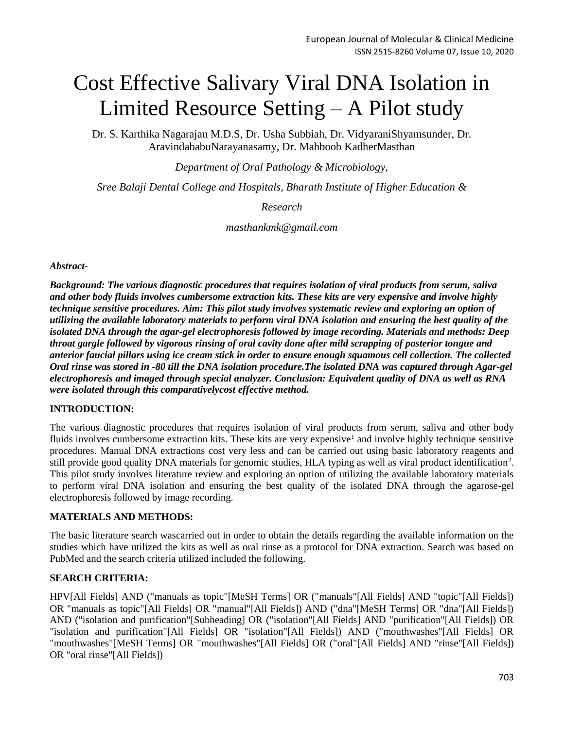# Cost Effective Salivary Viral DNA Isolation in Limited Resource Setting – A Pilot study

Dr. S. Karthika Nagarajan M.D.S, Dr. Usha Subbiah, Dr. VidyaraniShyamsunder, Dr. AravindababuNarayanasamy, Dr. Mahboob KadherMasthan

*Department of Oral Pathology & Microbiology,*

*Sree Balaji Dental College and Hospitals, Bharath Institute of Higher Education &*

*Research*

*masthankmk@gmail.com*

*Abstract-*

*Background: The various diagnostic procedures that requires isolation of viral products from serum, saliva and other body fluids involves cumbersome extraction kits. These kits are very expensive and involve highly technique sensitive procedures. Aim: This pilot study involves systematic review and exploring an option of utilizing the available laboratory materials to perform viral DNA isolation and ensuring the best quality of the isolated DNA through the agar-gel electrophoresis followed by image recording. Materials and methods: Deep throat gargle followed by vigorous rinsing of oral cavity done after mild scrapping of posterior tongue and anterior faucial pillars using ice cream stick in order to ensure enough squamous cell collection. The collected Oral rinse was stored in -80 till the DNA isolation procedure.The isolated DNA was captured through Agar-gel electrophoresis and imaged through special analyzer. Conclusion: Equivalent quality of DNA as well as RNA were isolated through this comparativelycost effective method.* 

### **INTRODUCTION:**

The various diagnostic procedures that requires isolation of viral products from serum, saliva and other body fluids involves cumbersome extraction kits. These kits are very expensive<sup>1</sup> and involve highly technique sensitive procedures. Manual DNA extractions cost very less and can be carried out using basic laboratory reagents and still provide good quality DNA materials for genomic studies, HLA typing as well as viral product identification<sup>2</sup>. This pilot study involves literature review and exploring an option of utilizing the available laboratory materials to perform viral DNA isolation and ensuring the best quality of the isolated DNA through the agarose-gel electrophoresis followed by image recording.

### **MATERIALS AND METHODS:**

The basic literature search wascarried out in order to obtain the details regarding the available information on the studies which have utilized the kits as well as oral rinse as a protocol for DNA extraction. Search was based on PubMed and the search criteria utilized included the following.

### **SEARCH CRITERIA:**

HPV[All Fields] AND ("manuals as topic"[MeSH Terms] OR ("manuals"[All Fields] AND "topic"[All Fields]) OR "manuals as topic"[All Fields] OR "manual"[All Fields]) AND ("dna"[MeSH Terms] OR "dna"[All Fields]) AND ("isolation and purification"[Subheading] OR ("isolation"[All Fields] AND "purification"[All Fields]) OR "isolation and purification"[All Fields] OR "isolation"[All Fields]) AND ("mouthwashes"[All Fields] OR "mouthwashes"[MeSH Terms] OR "mouthwashes"[All Fields] OR ("oral"[All Fields] AND "rinse"[All Fields]) OR "oral rinse"[All Fields])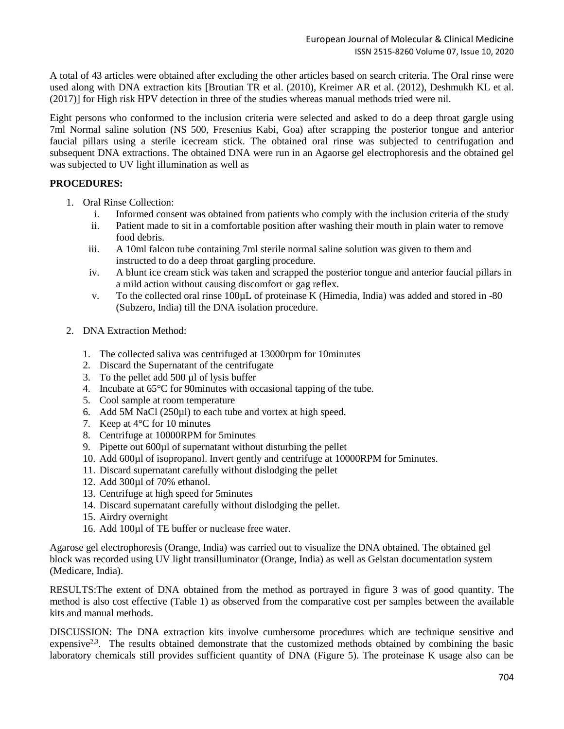A total of 43 articles were obtained after excluding the other articles based on search criteria. The Oral rinse were used along with DNA extraction kits [Broutian TR et al. (2010), Kreimer AR et al. (2012), Deshmukh KL et al. (2017)] for High risk HPV detection in three of the studies whereas manual methods tried were nil.

Eight persons who conformed to the inclusion criteria were selected and asked to do a deep throat gargle using 7ml Normal saline solution (NS 500, Fresenius Kabi, Goa) after scrapping the posterior tongue and anterior faucial pillars using a sterile icecream stick. The obtained oral rinse was subjected to centrifugation and subsequent DNA extractions. The obtained DNA were run in an Agaorse gel electrophoresis and the obtained gel was subjected to UV light illumination as well as

# **PROCEDURES:**

- 1. Oral Rinse Collection:
	- i. Informed consent was obtained from patients who comply with the inclusion criteria of the study
	- ii. Patient made to sit in a comfortable position after washing their mouth in plain water to remove food debris.
	- iii. A 10ml falcon tube containing 7ml sterile normal saline solution was given to them and instructed to do a deep throat gargling procedure.
	- iv. A blunt ice cream stick was taken and scrapped the posterior tongue and anterior faucial pillars in a mild action without causing discomfort or gag reflex.
	- v. To the collected oral rinse 100µL of proteinase K (Himedia, India) was added and stored in -80 (Subzero, India) till the DNA isolation procedure.
- 2. DNA Extraction Method:
	- 1. The collected saliva was centrifuged at 13000rpm for 10minutes
	- 2. Discard the Supernatant of the centrifugate
	- 3. To the pellet add 500 µl of lysis buffer
	- 4. Incubate at 65°C for 90minutes with occasional tapping of the tube.
	- 5. Cool sample at room temperature
	- 6. Add 5M NaCl (250µl) to each tube and vortex at high speed.
	- 7. Keep at 4°C for 10 minutes
	- 8. Centrifuge at 10000RPM for 5minutes
	- 9. Pipette out 600µl of supernatant without disturbing the pellet
	- 10. Add 600µl of isopropanol. Invert gently and centrifuge at 10000RPM for 5minutes.
	- 11. Discard supernatant carefully without dislodging the pellet
	- 12. Add 300µl of 70% ethanol.
	- 13. Centrifuge at high speed for 5minutes
	- 14. Discard supernatant carefully without dislodging the pellet.
	- 15. Airdry overnight
	- 16. Add 100µl of TE buffer or nuclease free water.

Agarose gel electrophoresis (Orange, India) was carried out to visualize the DNA obtained. The obtained gel block was recorded using UV light transilluminator (Orange, India) as well as Gelstan documentation system (Medicare, India).

RESULTS:The extent of DNA obtained from the method as portrayed in figure 3 was of good quantity. The method is also cost effective (Table 1) as observed from the comparative cost per samples between the available kits and manual methods.

DISCUSSION: The DNA extraction kits involve cumbersome procedures which are technique sensitive and expensive<sup>2,3</sup>. The results obtained demonstrate that the customized methods obtained by combining the basic laboratory chemicals still provides sufficient quantity of DNA (Figure 5). The proteinase K usage also can be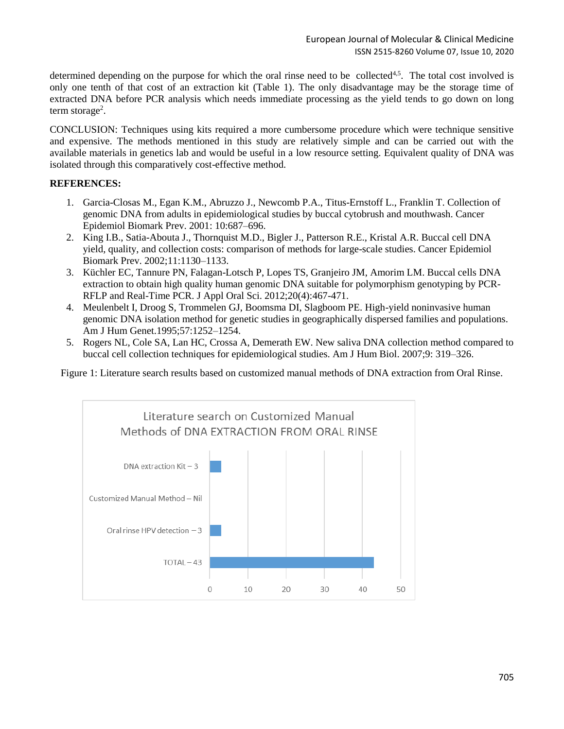determined depending on the purpose for which the oral rinse need to be collected<sup>4,5</sup>. The total cost involved is only one tenth of that cost of an extraction kit (Table 1). The only disadvantage may be the storage time of extracted DNA before PCR analysis which needs immediate processing as the yield tends to go down on long term storage<sup>2</sup>.

CONCLUSION: Techniques using kits required a more cumbersome procedure which were technique sensitive and expensive. The methods mentioned in this study are relatively simple and can be carried out with the available materials in genetics lab and would be useful in a low resource setting. Equivalent quality of DNA was isolated through this comparatively cost-effective method.

# **REFERENCES:**

- 1. Garcia-Closas M., Egan K.M., Abruzzo J., Newcomb P.A., Titus-Ernstoff L., Franklin T. Collection of genomic DNA from adults in epidemiological studies by buccal cytobrush and mouthwash. Cancer Epidemiol Biomark Prev. 2001: 10:687–696.
- 2. King I.B., Satia-Abouta J., Thornquist M.D., Bigler J., Patterson R.E., Kristal A.R. Buccal cell DNA yield, quality, and collection costs: comparison of methods for large-scale studies. Cancer Epidemiol Biomark Prev. 2002;11:1130–1133.
- 3. Küchler EC, Tannure PN, Falagan-Lotsch P, Lopes TS, Granjeiro JM, Amorim LM. Buccal cells DNA extraction to obtain high quality human genomic DNA suitable for polymorphism genotyping by PCR-RFLP and Real-Time PCR. J Appl Oral Sci. 2012;20(4):467-471.
- 4. Meulenbelt I, Droog S, Trommelen GJ, Boomsma DI, Slagboom PE. High-yield noninvasive human genomic DNA isolation method for genetic studies in geographically dispersed families and populations. Am J Hum Genet.1995;57:1252–1254.
- 5. Rogers NL, Cole SA, Lan HC, Crossa A, Demerath EW. New saliva DNA collection method compared to buccal cell collection techniques for epidemiological studies. Am J Hum Biol. 2007;9: 319–326.

Figure 1: Literature search results based on customized manual methods of DNA extraction from Oral Rinse.

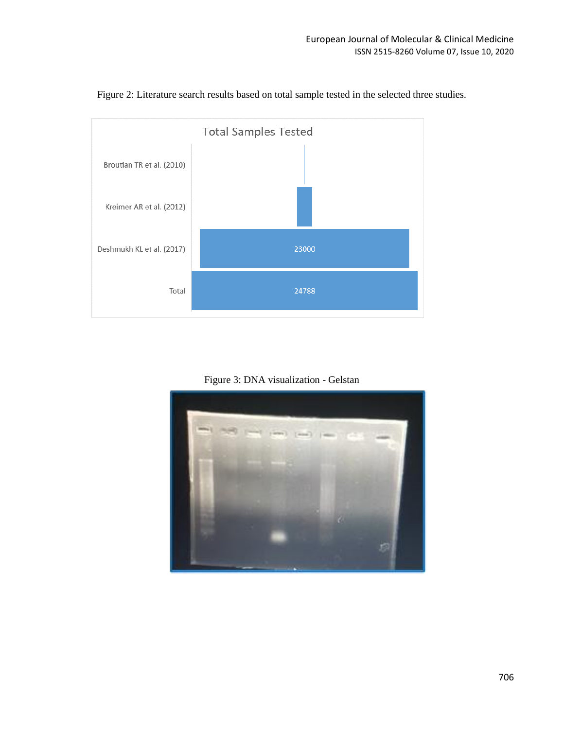

Figure 2: Literature search results based on total sample tested in the selected three studies.

Figure 3: DNA visualization - Gelstan